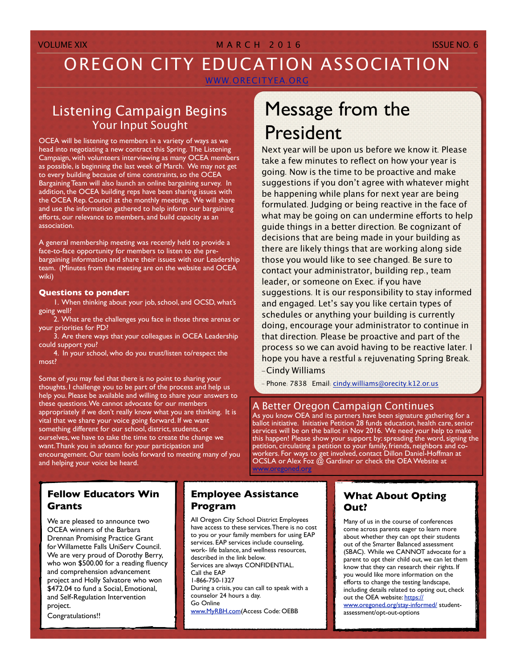### VOLUME XIX **MARCH 2016** ISSUE NO. 6

# OREGON CITY EDUCATION ASSOCIATION

WWW.[ORECITYEA](http://WWW.orecityea.org).ORG

## Listening Campaign Begins Your Input Sought

OCEA will be listening to members in a variety of ways as we head into negotiating a new contract this Spring. The Listening Campaign, with volunteers interviewing as many OCEA members as possible, is beginning the last week of March. We may not get to every building because of time constraints, so the OCEA Bargaining Team will also launch an online bargaining survey. In addition, the OCEA building reps have been sharing issues with the OCEA Rep. Council at the monthly meetings. We will share and use the information gathered to help inform our bargaining efforts, our relevance to members, and build capacity as an association.

A general membership meeting was recently held to provide a face-to-face opportunity for members to listen to the prebargaining information and share their issues with our Leadership team. (Minutes from the meeting are on the website and OCEA wiki)

#### **Questions to ponder:**

1. When thinking about your job, school, and OCSD, what's going well?

2. What are the challenges you face in those three arenas or your priorities for PD?

 3. Are there ways that your colleagues in OCEA Leadership could support you?

 4. In your school, who do you trust/listen to/respect the most?

Some of you may feel that there is no point to sharing your thoughts. I challenge you to be part of the process and help us help you. Please be available and willing to share your answers to these questions. We cannot advocate for our members appropriately if we don't really know what you are thinking. It is vital that we share your voice going forward. If we want something different for our school, district, students, or ourselves, we have to take the time to create the change we want. Thank you in advance for your participation and encouragement. Our team looks forward to meeting many of you and helping your voice be heard.

# Message from the President

Next year will be upon us before we know it. Please take a few minutes to reflect on how your year is going. Now is the time to be proactive and make suggestions if you don't agree with whatever might be happening while plans for next year are being formulated. Judging or being reactive in the face of what may be going on can undermine efforts to help guide things in a better direction. Be cognizant of decisions that are being made in your building as there are likely things that are working along side those you would like to see changed. Be sure to contact your administrator, building rep., team leader, or someone on Exec. if you have suggestions. It is our responsibility to stay informed and engaged. Let's say you like certain types of schedules or anything your building is currently doing, encourage your administrator to continue in that direction. Please be proactive and part of the process so we can avoid having to be reactive later. I hope you have a restful & rejuvenating Spring Break. -Cindy Williams

- Phone: 7838 Email: cindy.[williams@orecity](mailto:cindy.williams@orecity.k.12.or.us?subject=OCEA%20Ques).k12.or.us

#### A Better Oregon Campaign Continues

As you know OEA and its partners have been signature gathering for a ballot initiative. Initiative Petition 28 funds education, health care, senior services will be on the ballot in Nov 2016. We need your help to make this happen! Please show your support by: spreading the word, signing the petition, circulating a petition to your family, friends, neighbors and coworkers. For ways to get involved, contact Dillon Daniel-Hoffman at OCSLA or Alex Foz @ Gardiner or check the OEA Website at [www.oregoned.org](http://www.oregoned.org)

### **Fellow Educators Win Grants**

We are pleased to announce two OCEA winners of the Barbara Drennan Promising Practice Grant for Willamette Falls UniServ Council. We are very proud of Dorothy Berry, who won \$500.00 for a reading fluency and comprehension advancement project and Holly Salvatore who won \$472.04 to fund a Social, Emotional, and Self-Regulation Intervention project.

Congratulations!!

#### **Employee Assistance Program**

All Oregon City School District Employees have access to these services. There is no cost to you or your family members for using EAP services. EAP services include counseling, work- life balance, and wellness resources, described in the link below. Services are always CONFIDENTIAL. Call the EAP 1-866-750-1327 During a crisis, you can call to speak with a counselor 24 hours a day. Go Online [www.MyRBH.com\(](http://www.MyRBH.com)Access Code: OEBB

#### **What About Opting Out?**

Many of us in the course of conferences come across parents eager to learn more about whether they can opt their students out of the Smarter Balanced assessment (SBAC). While we CANNOT advocate for a parent to opt their child out, we can let them know that they can research their rights. If you would like more information on the efforts to change the testing landscape, including details related to opting out, check out the OEA website: [https://](https://www.oregoned.org/stay-informed/) [www.oregoned.org/stay-informed/](https://www.oregoned.org/stay-informed/) studentassessment/opt-out-options